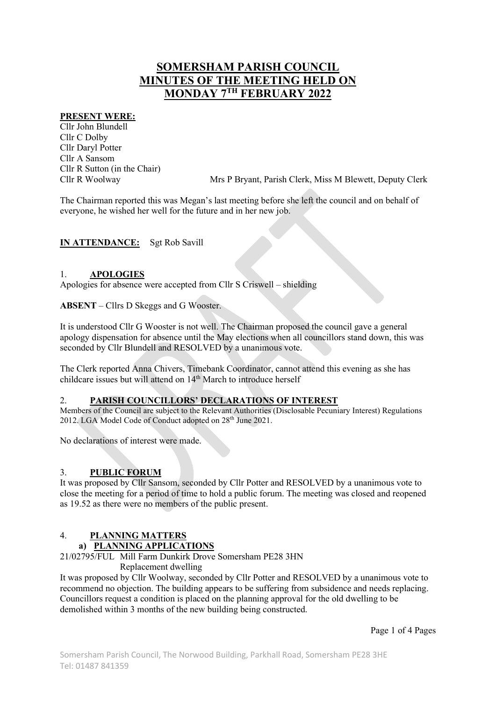# SOMERSHAM PARISH COUNCIL MINUTES OF THE MEETING HELD ON MONDAY 7TH FEBRUARY 2022

#### PRESENT WERE:

Cllr John Blundell Cllr C Dolby Cllr Daryl Potter Cllr A Sansom Cllr R Sutton (in the Chair)

Cllr R Woolway Mrs P Bryant, Parish Clerk, Miss M Blewett, Deputy Clerk

The Chairman reported this was Megan's last meeting before she left the council and on behalf of everyone, he wished her well for the future and in her new job.

IN ATTENDANCE: Sgt Rob Savill

#### 1. APOLOGIES

Apologies for absence were accepted from Cllr S Criswell – shielding

ABSENT – Cllrs D Skeggs and G Wooster.

It is understood Cllr G Wooster is not well. The Chairman proposed the council gave a general apology dispensation for absence until the May elections when all councillors stand down, this was seconded by Cllr Blundell and RESOLVED by a unanimous vote.

The Clerk reported Anna Chivers, Timebank Coordinator, cannot attend this evening as she has childcare issues but will attend on 14<sup>th</sup> March to introduce herself

#### 2. PARISH COUNCILLORS' DECLARATIONS OF INTEREST

Members of the Council are subject to the Relevant Authorities (Disclosable Pecuniary Interest) Regulations 2012. LGA Model Code of Conduct adopted on 28<sup>th</sup> June 2021.

No declarations of interest were made.

#### 3. PUBLIC FORUM

It was proposed by Cllr Sansom, seconded by Cllr Potter and RESOLVED by a unanimous vote to close the meeting for a period of time to hold a public forum. The meeting was closed and reopened as 19.52 as there were no members of the public present.

## 4. PLANNING MATTERS

## a) PLANNING APPLICATIONS

21/02795/FUL Mill Farm Dunkirk Drove Somersham PE28 3HN

Replacement dwelling

It was proposed by Cllr Woolway, seconded by Cllr Potter and RESOLVED by a unanimous vote to recommend no objection. The building appears to be suffering from subsidence and needs replacing. Councillors request a condition is placed on the planning approval for the old dwelling to be demolished within 3 months of the new building being constructed.

Page 1 of 4 Pages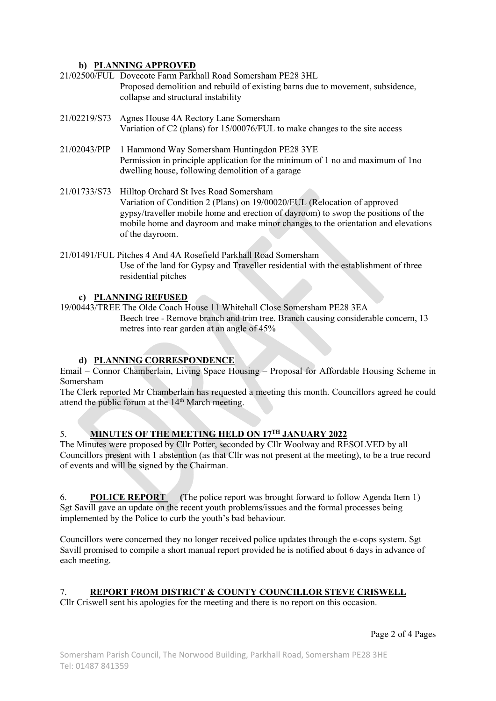#### b) PLANNING APPROVED

- 21/02500/FUL Dovecote Farm Parkhall Road Somersham PE28 3HL Proposed demolition and rebuild of existing barns due to movement, subsidence, collapse and structural instability
- 21/02219/S73 Agnes House 4A Rectory Lane Somersham Variation of C2 (plans) for 15/00076/FUL to make changes to the site access
- 21/02043/PIP 1 Hammond Way Somersham Huntingdon PE28 3YE Permission in principle application for the minimum of 1 no and maximum of 1no dwelling house, following demolition of a garage
- 21/01733/S73 Hilltop Orchard St Ives Road Somersham Variation of Condition 2 (Plans) on 19/00020/FUL (Relocation of approved gypsy/traveller mobile home and erection of dayroom) to swop the positions of the mobile home and dayroom and make minor changes to the orientation and elevations of the dayroom.
- 21/01491/FUL Pitches 4 And 4A Rosefield Parkhall Road Somersham Use of the land for Gypsy and Traveller residential with the establishment of three residential pitches

#### c) PLANNING REFUSED

19/00443/TREE The Olde Coach House 11 Whitehall Close Somersham PE28 3EA Beech tree - Remove branch and trim tree. Branch causing considerable concern, 13 metres into rear garden at an angle of 45%

## d) PLANNING CORRESPONDENCE

Email – Connor Chamberlain, Living Space Housing – Proposal for Affordable Housing Scheme in Somersham

The Clerk reported Mr Chamberlain has requested a meeting this month. Councillors agreed he could attend the public forum at the 14<sup>th</sup> March meeting.

## 5. MINUTES OF THE MEETING HELD ON 17TH JANUARY 2022

The Minutes were proposed by Cllr Potter, seconded by Cllr Woolway and RESOLVED by all Councillors present with 1 abstention (as that Cllr was not present at the meeting), to be a true record of events and will be signed by the Chairman.

6. POLICE REPORT (The police report was brought forward to follow Agenda Item 1) Sgt Savill gave an update on the recent youth problems/issues and the formal processes being implemented by the Police to curb the youth's bad behaviour.

Councillors were concerned they no longer received police updates through the e-cops system. Sgt Savill promised to compile a short manual report provided he is notified about 6 days in advance of each meeting.

## 7. REPORT FROM DISTRICT & COUNTY COUNCILLOR STEVE CRISWELL

Cllr Criswell sent his apologies for the meeting and there is no report on this occasion.

Page 2 of 4 Pages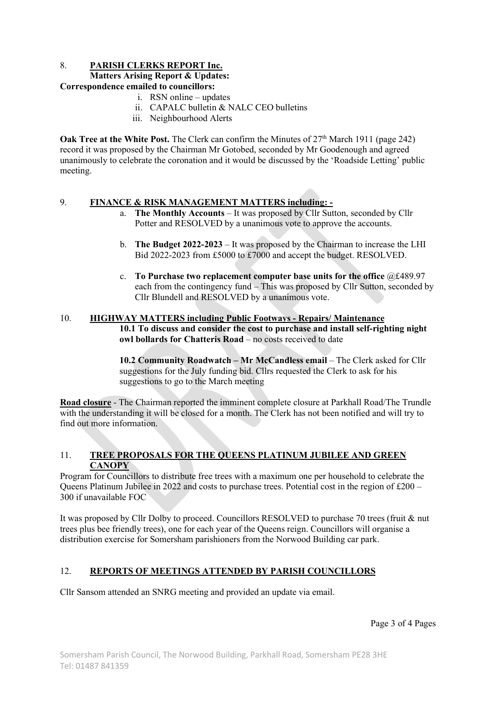#### 8. PARISH CLERKS REPORT Inc.

#### Matters Arising Report & Updates:

#### Correspondence emailed to councillors:

- i. RSN online updates
- ii. CAPALC bulletin & NALC CEO bulletins
- iii. Neighbourhood Alerts

**Oak Tree at the White Post.** The Clerk can confirm the Minutes of  $27<sup>th</sup>$  March 1911 (page 242) record it was proposed by the Chairman Mr Gotobed, seconded by Mr Goodenough and agreed unanimously to celebrate the coronation and it would be discussed by the 'Roadside Letting' public meeting.

#### 9. FINANCE & RISK MANAGEMENT MATTERS including: -

- a. The Monthly Accounts It was proposed by Cllr Sutton, seconded by Cllr Potter and RESOLVED by a unanimous vote to approve the accounts.
- b. The Budget 2022-2023 It was proposed by the Chairman to increase the LHI Bid 2022-2023 from £5000 to £7000 and accept the budget. RESOLVED.
- c. To Purchase two replacement computer base units for the office @£489.97 each from the contingency fund – This was proposed by Cllr Sutton, seconded by Cllr Blundell and RESOLVED by a unanimous vote.

#### 10. HIGHWAY MATTERS including Public Footways - Repairs/ Maintenance 10.1 To discuss and consider the cost to purchase and install self-righting night owl bollards for Chatteris Road – no costs received to date

10.2 Community Roadwatch – Mr McCandless email – The Clerk asked for Cllr suggestions for the July funding bid. Cllrs requested the Clerk to ask for his suggestions to go to the March meeting

Road closure - The Chairman reported the imminent complete closure at Parkhall Road/The Trundle with the understanding it will be closed for a month. The Clerk has not been notified and will try to find out more information.

## 11. TREE PROPOSALS FOR THE QUEENS PLATINUM JUBILEE AND GREEN **CANOPY**

Program for Councillors to distribute free trees with a maximum one per household to celebrate the Queens Platinum Jubilee in 2022 and costs to purchase trees. Potential cost in the region of £200 – 300 if unavailable FOC

It was proposed by Cllr Dolby to proceed. Councillors RESOLVED to purchase 70 trees (fruit & nut trees plus bee friendly trees), one for each year of the Queens reign. Councillors will organise a distribution exercise for Somersham parishioners from the Norwood Building car park.

#### 12. REPORTS OF MEETINGS ATTENDED BY PARISH COUNCILLORS

Cllr Sansom attended an SNRG meeting and provided an update via email.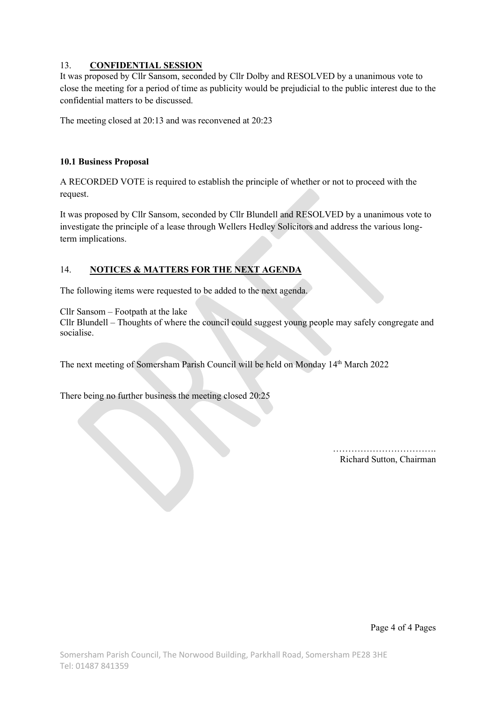## 13. CONFIDENTIAL SESSION

It was proposed by Cllr Sansom, seconded by Cllr Dolby and RESOLVED by a unanimous vote to close the meeting for a period of time as publicity would be prejudicial to the public interest due to the confidential matters to be discussed.

The meeting closed at 20:13 and was reconvened at 20:23

#### 10.1 Business Proposal

A RECORDED VOTE is required to establish the principle of whether or not to proceed with the request.

It was proposed by Cllr Sansom, seconded by Cllr Blundell and RESOLVED by a unanimous vote to investigate the principle of a lease through Wellers Hedley Solicitors and address the various longterm implications.

## 14. NOTICES & MATTERS FOR THE NEXT AGENDA

The following items were requested to be added to the next agenda.

Cllr Sansom – Footpath at the lake

Cllr Blundell – Thoughts of where the council could suggest young people may safely congregate and socialise.

The next meeting of Somersham Parish Council will be held on Monday 14th March 2022

There being no further business the meeting closed 20:25

……………………………. Richard Sutton, Chairman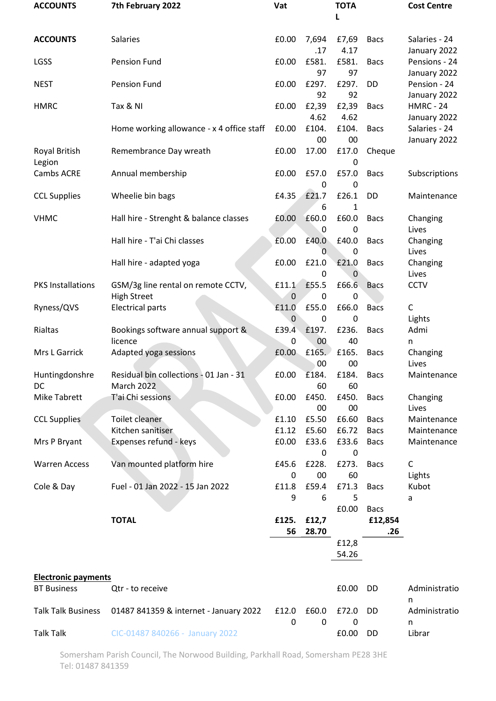| <b>ACCOUNTS</b>            | 7th February 2022                                           | Vat                  |                          | <b>TOTA</b><br>L |                | <b>Cost Centre</b>               |
|----------------------------|-------------------------------------------------------------|----------------------|--------------------------|------------------|----------------|----------------------------------|
| <b>ACCOUNTS</b>            | <b>Salaries</b>                                             | £0.00                | 7,694<br>.17             | £7,69<br>4.17    | <b>Bacs</b>    | Salaries - 24<br>January 2022    |
| LGSS                       | <b>Pension Fund</b>                                         | £0.00                | £581.<br>97              | £581.<br>97      | <b>Bacs</b>    | Pensions - 24<br>January 2022    |
| <b>NEST</b>                | <b>Pension Fund</b>                                         | £0.00                | £297.<br>92              | £297.<br>92      | DD             | Pension - 24<br>January 2022     |
| <b>HMRC</b>                | Tax & NI                                                    | £0.00                | £2,39<br>4.62            | £2,39<br>4.62    | <b>Bacs</b>    | <b>HMRC - 24</b><br>January 2022 |
|                            | Home working allowance - x 4 office staff                   | £0.00                | £104.<br>00              | £104.<br>00      | <b>Bacs</b>    | Salaries - 24<br>January 2022    |
| Royal British<br>Legion    | Remembrance Day wreath                                      | £0.00                | 17.00                    | £17.0<br>0       | Cheque         |                                  |
| Cambs ACRE                 | Annual membership                                           | £0.00                | £57.0<br>0               | £57.0<br>0       | <b>Bacs</b>    | Subscriptions                    |
| <b>CCL Supplies</b>        | Wheelie bin bags                                            | £4.35                | £21.7<br>6               | £26.1<br>1       | <b>DD</b>      | Maintenance                      |
| <b>VHMC</b>                | Hall hire - Strenght & balance classes                      | £0.00                | £60.0<br>0               | £60.0<br>0       | <b>Bacs</b>    | Changing<br>Lives                |
|                            | Hall hire - T'ai Chi classes                                | £0.00                | £40.0<br>0               | £40.0<br>0       | <b>Bacs</b>    | Changing<br>Lives                |
|                            | Hall hire - adapted yoga                                    | £0.00                | £21.0<br>0               | £21.0<br>0       | <b>Bacs</b>    | Changing<br>Lives                |
| <b>PKS Installations</b>   | GSM/3g line rental on remote CCTV,<br><b>High Street</b>    | £11.1<br>0           | £55.5<br>0               | £66.6<br>0       | <b>Bacs</b>    | <b>CCTV</b>                      |
| Ryness/QVS                 | <b>Electrical parts</b>                                     | £11.0<br>$\mathbf 0$ | £55.0<br>0               | £66.0<br>0       | <b>Bacs</b>    | C<br>Lights                      |
| Rialtas                    | Bookings software annual support &<br>licence               | £39.4<br>0           | £197.<br>00 <sub>0</sub> | £236.<br>40      | <b>Bacs</b>    | Admi<br>n                        |
| Mrs L Garrick              | Adapted yoga sessions                                       | £0.00                | £165.<br>00              | £165.<br>00      | <b>Bacs</b>    | Changing<br>Lives                |
| Huntingdonshre<br>DC       | Residual bin collections - 01 Jan - 31<br><b>March 2022</b> | £0.00                | £184.<br>60              | £184.<br>60      | <b>Bacs</b>    | Maintenance                      |
| <b>Mike Tabrett</b>        | T'ai Chi sessions                                           | £0.00                | £450.<br>00              | £450.<br>00      | <b>Bacs</b>    | Changing<br>Lives                |
| <b>CCL Supplies</b>        | Toilet cleaner                                              | £1.10                | £5.50                    | £6.60            | <b>Bacs</b>    | Maintenance                      |
|                            | Kitchen sanitiser                                           | £1.12                | £5.60                    | £6.72            | <b>Bacs</b>    | Maintenance                      |
| Mrs P Bryant               | Expenses refund - keys                                      | £0.00                | £33.6<br>0               | £33.6<br>0       | <b>Bacs</b>    | Maintenance                      |
| <b>Warren Access</b>       | Van mounted platform hire                                   | £45.6                | £228.                    | £273.            | <b>Bacs</b>    | C                                |
| Cole & Day                 | Fuel - 01 Jan 2022 - 15 Jan 2022                            | 0<br>£11.8           | 00<br>£59.4              | 60<br>£71.3      | <b>Bacs</b>    | Lights<br>Kubot                  |
|                            |                                                             | 9                    | 6                        | 5                |                | a                                |
|                            |                                                             |                      |                          | £0.00            | <b>Bacs</b>    |                                  |
|                            | <b>TOTAL</b>                                                | £125.<br>56          | £12,7<br>28.70           |                  | £12,854<br>.26 |                                  |
|                            |                                                             |                      |                          | £12,8<br>54.26   |                |                                  |
| <b>Electronic payments</b> |                                                             |                      |                          |                  |                |                                  |
| <b>BT Business</b>         | Qtr - to receive                                            |                      |                          | £0.00            | <b>DD</b>      | Administratio<br>n               |
| <b>Talk Talk Business</b>  | 01487 841359 & internet - January 2022                      | £12.0<br>0           | £60.0<br>$\mathbf{0}$    | £72.0<br>0       | DD             | Administratio<br>n               |
| <b>Talk Talk</b>           | CIC-01487 840266 - January 2022                             |                      |                          | £0.00            | DD             | Librar                           |

Somersham Parish Council, The Norwood Building, Parkhall Road, Somersham PE28 3HE Tel: 01487 841359